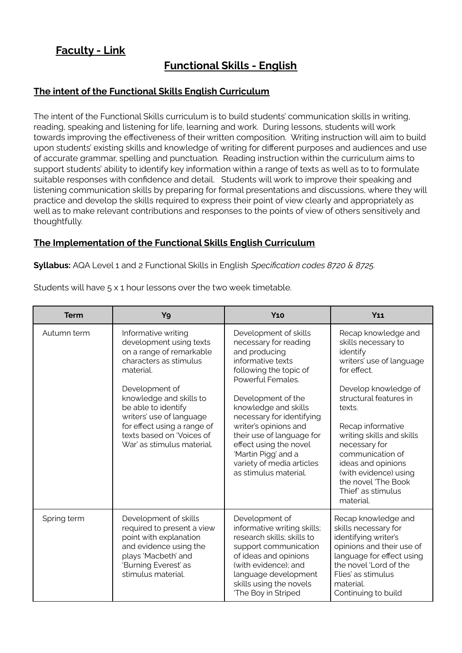## **Faculty - Link**

# **Functional Skills - English**

#### **The intent of the Functional Skills English Curriculum**

The intent of the Functional Skills curriculum is to build students' communication skills in writing, reading, speaking and listening for life, learning and work. During lessons, students will work towards improving the effectiveness of their written composition. Writing instruction will aim to build upon students' existing skills and knowledge of writing for different purposes and audiences and use of accurate grammar, spelling and punctuation. Reading instruction within the curriculum aims to support students' ability to identify key information within a range of texts as well as to to formulate suitable responses with confidence and detail. Students will work to improve their speaking and listening communication skills by preparing for formal presentations and discussions, where they will practice and develop the skills required to express their point of view clearly and appropriately as well as to make relevant contributions and responses to the points of view of others sensitively and thoughtfully.

#### **The Implementation of the Functional Skills English Curriculum**

**Syllabus:** AQA Level 1 and 2 Functional Skills in English *Specification codes 8720 & 8725.*

| <b>Term</b> | Y9                                                                                                                                                                                                                                                                                                          | <b>Y10</b>                                                                                                                                                                                                                                                                                                                                                                  | <b>Y11</b>                                                                                                                                                                                                                                                                                                                                                    |
|-------------|-------------------------------------------------------------------------------------------------------------------------------------------------------------------------------------------------------------------------------------------------------------------------------------------------------------|-----------------------------------------------------------------------------------------------------------------------------------------------------------------------------------------------------------------------------------------------------------------------------------------------------------------------------------------------------------------------------|---------------------------------------------------------------------------------------------------------------------------------------------------------------------------------------------------------------------------------------------------------------------------------------------------------------------------------------------------------------|
| Autumn term | Informative writing<br>development using texts<br>on a range of remarkable<br>characters as stimulus<br>material.<br>Development of<br>knowledge and skills to<br>be able to identify<br>writers' use of language<br>for effect using a range of<br>texts based on 'Voices of<br>War' as stimulus material. | Development of skills<br>necessary for reading<br>and producing<br>informative texts<br>following the topic of<br>Powerful Females.<br>Development of the<br>knowledge and skills<br>necessary for identifying<br>writer's opinions and<br>their use of language for<br>effect using the novel<br>'Martin Pigg' and a<br>variety of media articles<br>as stimulus material. | Recap knowledge and<br>skills necessary to<br>identify<br>writers' use of language<br>for effect.<br>Develop knowledge of<br>structural features in<br>texts.<br>Recap informative<br>writing skills and skills<br>necessary for<br>communication of<br>ideas and opinions<br>(with evidence) using<br>the novel 'The Book<br>Thief' as stimulus<br>material. |
| Spring term | Development of skills<br>required to present a view<br>point with explanation<br>and evidence using the<br>plays 'Macbeth' and<br>'Burning Everest' as<br>stimulus material.                                                                                                                                | Development of<br>informative writing skills;<br>research skills; skills to<br>support communication<br>of ideas and opinions<br>(with evidence); and<br>language development<br>skills using the novels<br>'The Boy in Striped                                                                                                                                             | Recap knowledge and<br>skills necessary for<br>identifying writer's<br>opinions and their use of<br>language for effect using<br>the novel 'Lord of the<br>Flies' as stimulus<br>material.<br>Continuing to build                                                                                                                                             |

Students will have 5 x 1 hour lessons over the two week timetable.